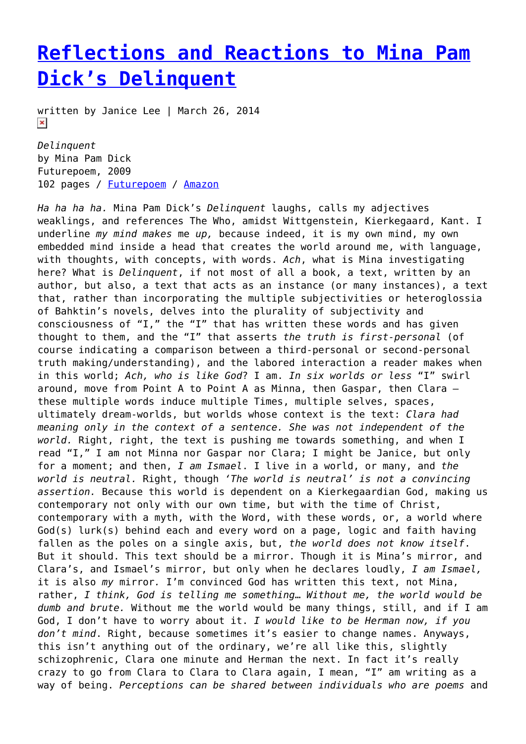## **[Reflections and Reactions to Mina Pam](https://entropymag.org/reflections-and-reactions-to-mina-pam-dicks-delinquent/) [Dick's Delinquent](https://entropymag.org/reflections-and-reactions-to-mina-pam-dicks-delinquent/)**

written by Janice Lee | March 26, 2014  $\pmb{\times}$ 

*Delinquent* by Mina Pam Dick Futurepoem, 2009 102 pages / [Futurepoem](http://www.futurepoem.com/bookpages/delinquent.html) / [Amazon](http://www.amazon.com/Delinquent-Mina-Pam-Dick/dp/0982279817)

*Ha ha ha ha.* Mina Pam Dick's *Delinquent* laughs, calls my adjectives weaklings, and references The Who, amidst Wittgenstein, Kierkegaard, Kant. I underline *my mind makes* me *up,* because indeed, it is my own mind, my own embedded mind inside a head that creates the world around me, with language, with thoughts, with concepts, with words. *Ach*, what is Mina investigating here? What is *Delinquent*, if not most of all a book, a text, written by an author, but also, a text that acts as an instance (or many instances), a text that, rather than incorporating the multiple subjectivities or heteroglossia of Bahktin's novels, delves into the plurality of subjectivity and consciousness of "I," the "I" that has written these words and has given thought to them, and the "I" that asserts *the truth is first-personal* (of course indicating a comparison between a third-personal or second-personal truth making/understanding), and the labored interaction a reader makes when in this world; *Ach, who is like God*? I am. *In six worlds or less* "I" swirl around, move from Point A to Point A as Minna, then Gaspar, then Clara – these multiple words induce multiple Times, multiple selves, spaces, ultimately dream-worlds, but worlds whose context is the text: *Clara had meaning only in the context of a sentence. She was not independent of the world.* Right, right, the text is pushing me towards something, and when I read "I," I am not Minna nor Gaspar nor Clara; I might be Janice, but only for a moment; and then, *I am Ismael*. I live in a world, or many, and *the world is neutral.* Right, though *'The world is neutral' is not a convincing assertion.* Because this world is dependent on a Kierkegaardian God, making us contemporary not only with our own time, but with the time of Christ, contemporary with a myth, with the Word, with these words, or, a world where God(s) lurk(s) behind each and every word on a page, logic and faith having fallen as the poles on a single axis, but, *the world does not know itself*. But it should. This text should be a mirror. Though it is Mina's mirror, and Clara's, and Ismael's mirror, but only when he declares loudly, *I am Ismael,* it is also *my* mirror*.* I'm convinced God has written this text, not Mina, rather, *I think, God is telling me something*… *Without me, the world would be dumb and brute.* Without me the world would be many things, still, and if I am God, I don't have to worry about it. *I would like to be Herman now, if you don't mind*. Right, because sometimes it's easier to change names. Anyways, this isn't anything out of the ordinary, we're all like this, slightly schizophrenic, Clara one minute and Herman the next. In fact it's really crazy to go from Clara to Clara to Clara again, I mean, "I" am writing as a way of being. *Perceptions can be shared between individuals who are poems* and